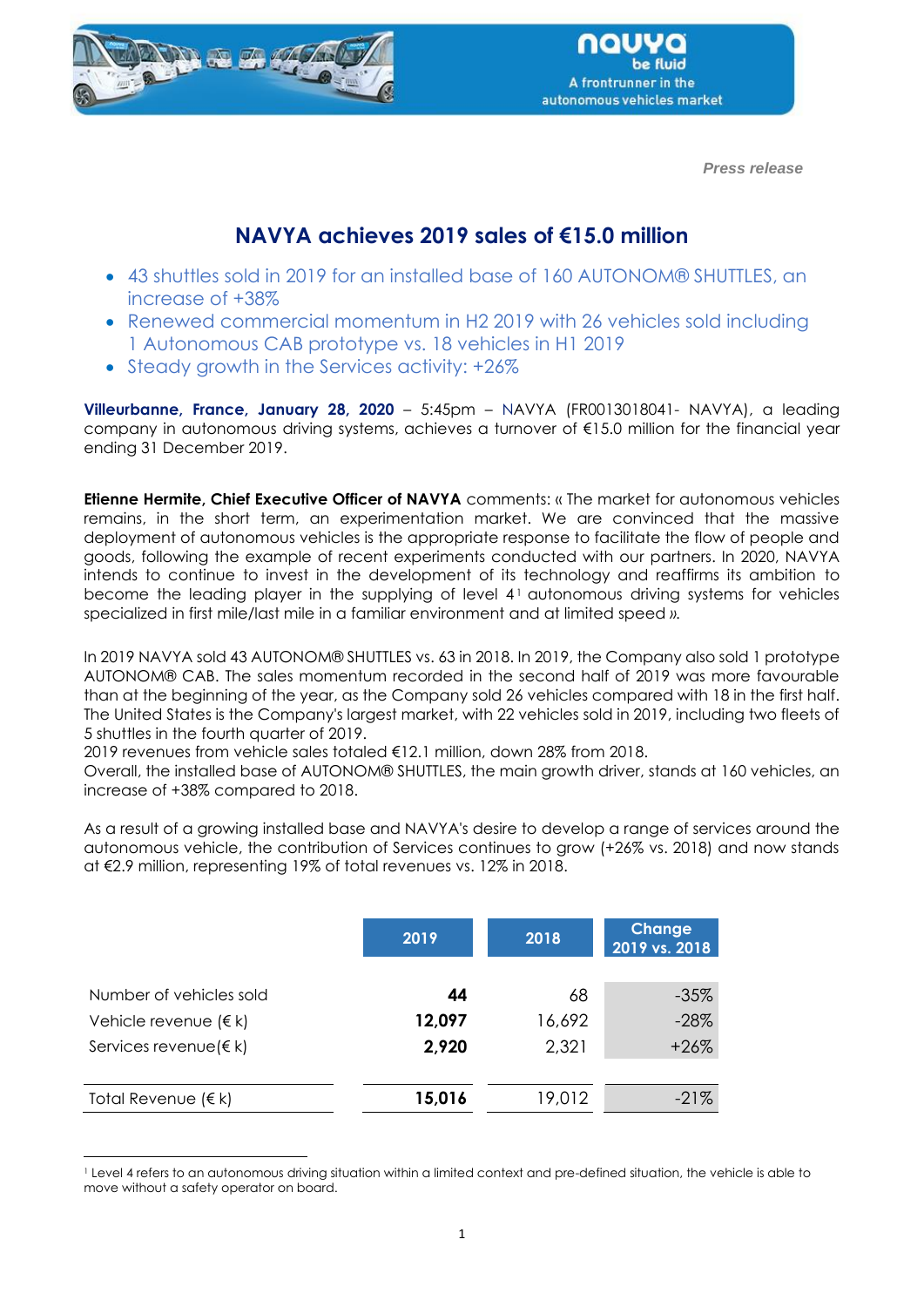

 *Press release*

# **NAVYA achieves 2019 sales of €15.0 million**

- 43 shuttles sold in 2019 for an installed base of 160 AUTONOM® SHUTTLES, an increase of +38%
- Renewed commercial momentum in H2 2019 with 26 vehicles sold including 1 Autonomous CAB prototype vs. 18 vehicles in H1 2019
- Steady growth in the Services activity: +26%

**Villeurbanne, France, January 28, 2020** – 5:45pm – NAVYA (FR0013018041- NAVYA), a leading company in autonomous driving systems, achieves a turnover of €15.0 million for the financial year ending 31 December 2019.

**Etienne Hermite, Chief Executive Officer of NAVYA** comments: « The market for autonomous vehicles remains, in the short term, an experimentation market. We are convinced that the massive deployment of autonomous vehicles is the appropriate response to facilitate the flow of people and goods, following the example of recent experiments conducted with our partners. In 2020, NAVYA intends to continue to invest in the development of its technology and reaffirms its ambition to become the leading player in the supplying of level 4<sup>1</sup> autonomous driving systems for vehicles specialized in first mile/last mile in a familiar environment and at limited speed *».*

In 2019 NAVYA sold 43 AUTONOM® SHUTTLES vs. 63 in 2018. In 2019, the Company also sold 1 prototype AUTONOM® CAB. The sales momentum recorded in the second half of 2019 was more favourable than at the beginning of the year, as the Company sold 26 vehicles compared with 18 in the first half. The United States is the Company's largest market, with 22 vehicles sold in 2019, including two fleets of 5 shuttles in the fourth quarter of 2019.

2019 revenues from vehicle sales totaled €12.1 million, down 28% from 2018.

Overall, the installed base of AUTONOM® SHUTTLES, the main growth driver, stands at 160 vehicles, an increase of +38% compared to 2018.

As a result of a growing installed base and NAVYA's desire to develop a range of services around the autonomous vehicle, the contribution of Services continues to grow (+26% vs. 2018) and now stands at €2.9 million, representing 19% of total revenues vs. 12% in 2018.

|                                 | 2019   | 2018   | Change<br>2019 vs. 2018 |
|---------------------------------|--------|--------|-------------------------|
| Number of vehicles sold         | 44     | 68     | $-35%$                  |
| Vehicle revenue $(\epsilon k)$  | 12,097 | 16,692 | $-28%$                  |
| Services revenue ( $\notin k$ ) | 2,920  | 2,321  | $+26%$                  |
|                                 |        |        |                         |
| Total Revenue (€ k)             | 15,016 | 19,012 | $-21%$                  |

<sup>1</sup> Level 4 refers to an autonomous driving situation within a limited context and pre-defined situation, the vehicle is able to move without a safety operator on board.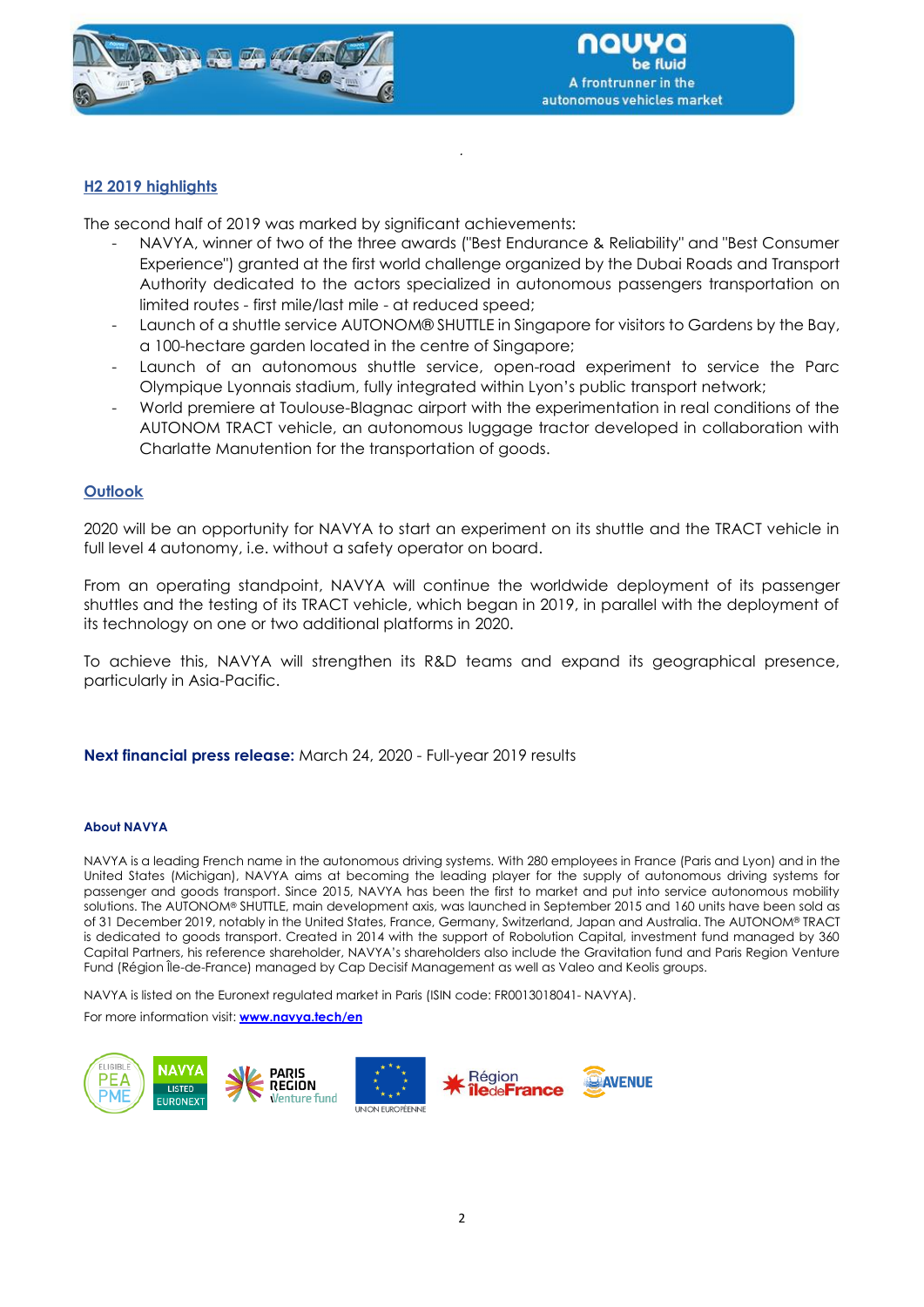

# **H2 2019 highlights**

The second half of 2019 was marked by significant achievements:

- NAVYA, winner of two of the three awards ("Best Endurance & Reliability" and "Best Consumer Experience") granted at the first world challenge organized by the Dubai Roads and Transport Authority dedicated to the actors specialized in autonomous passengers transportation on limited routes - first mile/last mile - at reduced speed;

*.*

- Launch of a shuttle service AUTONOM® SHUTTLE in Singapore for visitors to Gardens by the Bay, a 100-hectare garden located in the centre of Singapore;
- Launch of an autonomous shuttle service, open-road experiment to service the Parc Olympique Lyonnais stadium, fully integrated within Lyon's public transport network;
- World premiere at Toulouse-Blagnac airport with the experimentation in real conditions of the AUTONOM TRACT vehicle, an autonomous luggage tractor developed in collaboration with Charlatte Manutention for the transportation of goods.

# **Outlook**

2020 will be an opportunity for NAVYA to start an experiment on its shuttle and the TRACT vehicle in full level 4 autonomy, i.e. without a safety operator on board.

From an operating standpoint, NAVYA will continue the worldwide deployment of its passenger shuttles and the testing of its TRACT vehicle, which began in 2019, in parallel with the deployment of its technology on one or two additional platforms in 2020.

To achieve this, NAVYA will strengthen its R&D teams and expand its geographical presence, particularly in Asia-Pacific.

**Next financial press release:** March 24, 2020 - Full-year 2019 results

#### **About NAVYA**

NAVYA is a leading French name in the autonomous driving systems. With 280 employees in France (Paris and Lyon) and in the United States (Michigan), NAVYA aims at becoming the leading player for the supply of autonomous driving systems for passenger and goods transport. Since 2015, NAVYA has been the first to market and put into service autonomous mobility solutions. The AUTONOM® SHUTTLE, main development axis, was launched in September 2015 and 160 units have been sold as of 31 December 2019, notably in the United States, France, Germany, Switzerland, Japan and Australia. The AUTONOM® TRACT is dedicated to goods transport. Created in 2014 with the support of Robolution Capital, investment fund managed by 360 Capital Partners, his reference shareholder, NAVYA's shareholders also include the Gravitation fund and Paris Region Venture Fund (Région Île-de-France) managed by Cap Decisif Management as well as Valeo and Keolis groups.

NAVYA is listed on the Euronext regulated market in Paris (ISIN code: FR0013018041- NAVYA).

For more information visit: **[www.navya.tech/en](http://www.navya.tech/en)**